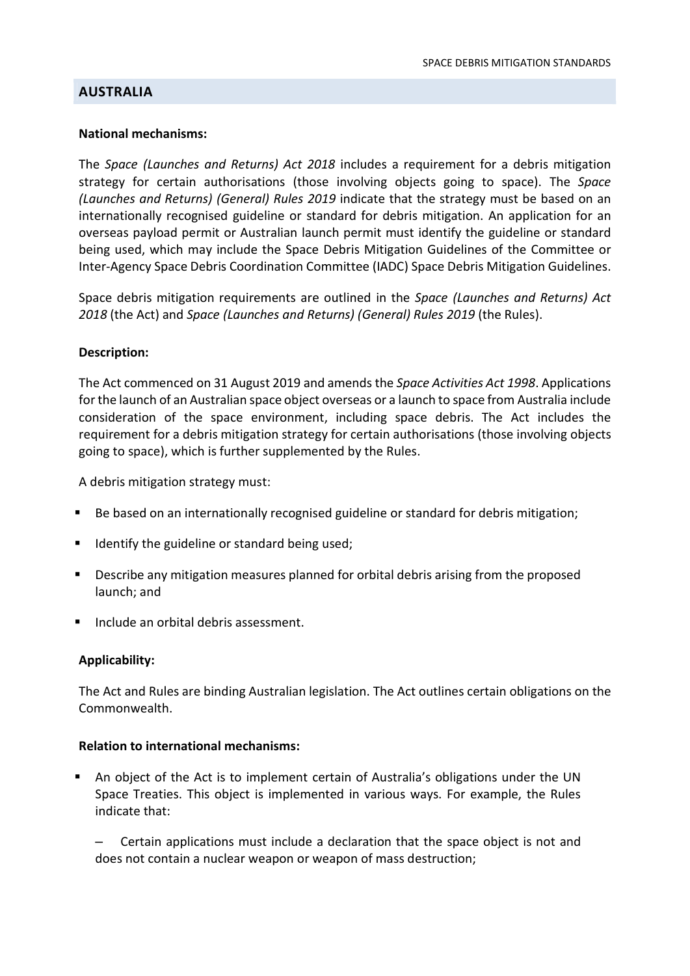# **AUSTRALIA**

#### National mechanisms:

The Space (Launches and Returns) Act 2018 includes a requirement for a debris mitigation strategy for certain authorisations (those involving objects going to space). The Space (Launches and Returns) (General) Rules 2019 indicate that the strategy must be based on an internationally recognised guideline or standard for debris mitigation. An application for an overseas payload permit or Australian launch permit must identify the guideline or standard being used, which may include the Space Debris Mitigation Guidelines of the Committee or Inter-Agency Space Debris Coordination Committee (IADC) Space Debris Mitigation Guidelines.

Space debris mitigation requirements are outlined in the Space (Launches and Returns) Act 2018 (the Act) and Space (Launches and Returns) (General) Rules 2019 (the Rules).

## Description:

The Act commenced on 31 August 2019 and amends the Space Activities Act 1998. Applications for the launch of an Australian space object overseas or a launch to space from Australia include consideration of the space environment, including space debris. The Act includes the requirement for a debris mitigation strategy for certain authorisations (those involving objects going to space), which is further supplemented by the Rules.

A debris mitigation strategy must:

- Be based on an internationally recognised guideline or standard for debris mitigation;
- Identify the guideline or standard being used;
- **Describe any mitigation measures planned for orbital debris arising from the proposed** launch; and
- **Include an orbital debris assessment.**

## Applicability:

The Act and Rules are binding Australian legislation. The Act outlines certain obligations on the Commonwealth.

## Relation to international mechanisms:

 An object of the Act is to implement certain of Australia's obligations under the UN Space Treaties. This object is implemented in various ways. For example, the Rules indicate that:

– Certain applications must include a declaration that the space object is not and does not contain a nuclear weapon or weapon of mass destruction;